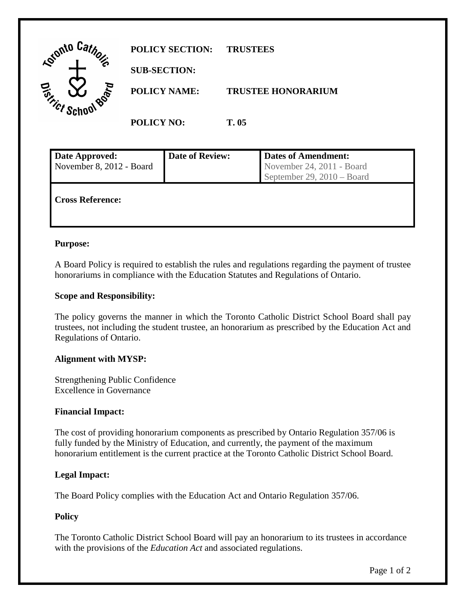

| Date Approved:           | <b>Date of Review:</b> | <b>Dates of Amendment:</b> |
|--------------------------|------------------------|----------------------------|
| November 8, 2012 - Board |                        | November 24, 2011 - Board  |
|                          |                        | September 29, 2010 – Board |
| <b>Cross Reference:</b>  |                        |                            |

### **Purpose:**

A Board Policy is required to establish the rules and regulations regarding the payment of trustee honorariums in compliance with the Education Statutes and Regulations of Ontario.

### **Scope and Responsibility:**

 The policy governs the manner in which the Toronto Catholic District School Board shall pay trustees, not including the student trustee, an honorarium as prescribed by the Education Act and Regulations of Ontario.

#### **Alignment with MYSP:**

Strengthening Public Confidence Excellence in Governance

#### **Financial Impact:**

The cost of providing honorarium components as prescribed by Ontario Regulation 357/06 is fully funded by the Ministry of Education, and currently, the payment of the maximum honorarium entitlement is the current practice at the Toronto Catholic District School Board.

## **Legal Impact:**

The Board Policy complies with the Education Act and Ontario Regulation 357/06.

## **Policy**

 The Toronto Catholic District School Board will pay an honorarium to its trustees in accordance with the provisions of the *Education Act* and associated regulations.